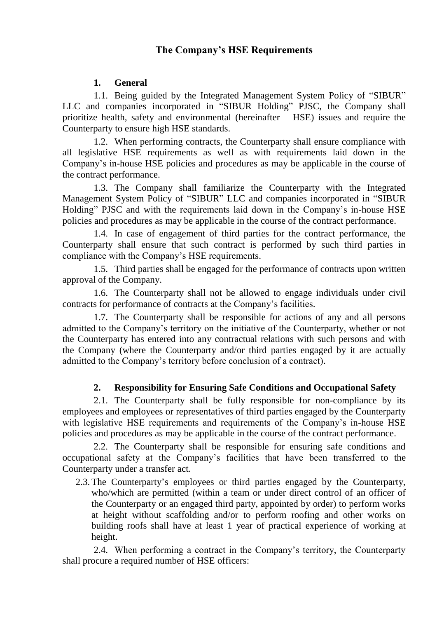# **The Company's HSE Requirements**

### **1. General**

1.1. Being guided by the Integrated Management System Policy of "SIBUR" LLC and companies incorporated in "SIBUR Holding" PJSC, the Company shall prioritize health, safety and environmental (hereinafter – HSE) issues and require the Counterparty to ensure high HSE standards.

1.2. When performing contracts, the Counterparty shall ensure compliance with all legislative HSE requirements as well as with requirements laid down in the Company's in-house HSE policies and procedures as may be applicable in the course of the contract performance.

1.3. The Company shall familiarize the Counterparty with the Integrated Management System Policy of "SIBUR" LLC and companies incorporated in "SIBUR Holding" PJSC and with the requirements laid down in the Company's in-house HSE policies and procedures as may be applicable in the course of the contract performance.

1.4. In case of engagement of third parties for the contract performance, the Counterparty shall ensure that such contract is performed by such third parties in compliance with the Company's HSE requirements.

1.5. Third parties shall be engaged for the performance of contracts upon written approval of the Company.

1.6. The Counterparty shall not be allowed to engage individuals under civil contracts for performance of contracts at the Company's facilities.

1.7. The Counterparty shall be responsible for actions of any and all persons admitted to the Company's territory on the initiative of the Counterparty, whether or not the Counterparty has entered into any contractual relations with such persons and with the Company (where the Counterparty and/or third parties engaged by it are actually admitted to the Company's territory before conclusion of a contract).

#### **2. Responsibility for Ensuring Safe Conditions and Occupational Safety**

2.1. The Counterparty shall be fully responsible for non-compliance by its employees and employees or representatives of third parties engaged by the Counterparty with legislative HSE requirements and requirements of the Company's in-house HSE policies and procedures as may be applicable in the course of the contract performance.

2.2. The Counterparty shall be responsible for ensuring safe conditions and occupational safety at the Company's facilities that have been transferred to the Counterparty under a transfer act.

2.3. The Counterparty's employees or third parties engaged by the Counterparty, who/which are permitted (within a team or under direct control of an officer of the Counterparty or an engaged third party, appointed by order) to perform works at height without scaffolding and/or to perform roofing and other works on building roofs shall have at least 1 year of practical experience of working at height.

2.4. When performing a contract in the Company's territory, the Counterparty shall procure a required number of HSE officers: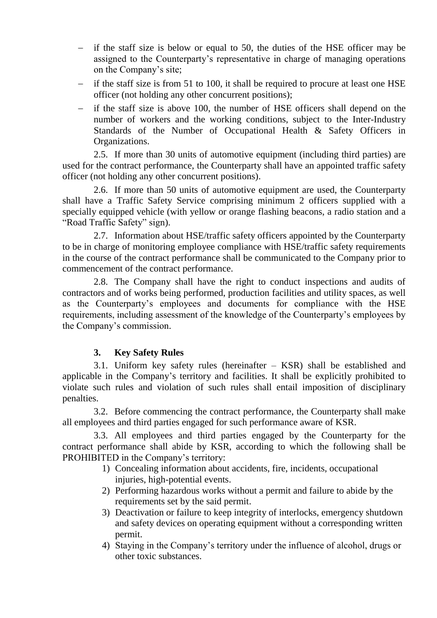- if the staff size is below or equal to 50, the duties of the HSE officer may be assigned to the Counterparty's representative in charge of managing operations on the Company's site;
- if the staff size is from 51 to 100, it shall be required to procure at least one HSE officer (not holding any other concurrent positions);
- $\overline{\phantom{a}}$  if the staff size is above 100, the number of HSE officers shall depend on the number of workers and the working conditions, subject to the Inter-Industry Standards of the Number of Occupational Health & Safety Officers in Organizations.

2.5. If more than 30 units of automotive equipment (including third parties) are used for the contract performance, the Counterparty shall have an appointed traffic safety officer (not holding any other concurrent positions).

2.6. If more than 50 units of automotive equipment are used, the Counterparty shall have a Traffic Safety Service comprising minimum 2 officers supplied with a specially equipped vehicle (with yellow or orange flashing beacons, a radio station and a "Road Traffic Safety" sign).

2.7. Information about HSE/traffic safety officers appointed by the Counterparty to be in charge of monitoring employee compliance with HSE/traffic safety requirements in the course of the contract performance shall be communicated to the Company prior to commencement of the contract performance.

2.8. The Company shall have the right to conduct inspections and audits of contractors and of works being performed, production facilities and utility spaces, as well as the Counterparty's employees and documents for compliance with the HSE requirements, including assessment of the knowledge of the Counterparty's employees by the Company's commission.

## **3. Key Safety Rules**

3.1. Uniform key safety rules (hereinafter – KSR) shall be established and applicable in the Company's territory and facilities. It shall be explicitly prohibited to violate such rules and violation of such rules shall entail imposition of disciplinary penalties.

3.2. Before commencing the contract performance, the Counterparty shall make all employees and third parties engaged for such performance aware of KSR.

3.3. All employees and third parties engaged by the Counterparty for the contract performance shall abide by KSR, according to which the following shall be PROHIBITED in the Company's territory:

- 1) Concealing information about accidents, fire, incidents, occupational injuries, high-potential events.
- 2) Performing hazardous works without a permit and failure to abide by the requirements set by the said permit.
- 3) Deactivation or failure to keep integrity of interlocks, emergency shutdown and safety devices on operating equipment without a corresponding written permit.
- 4) Staying in the Company's territory under the influence of alcohol, drugs or other toxic substances.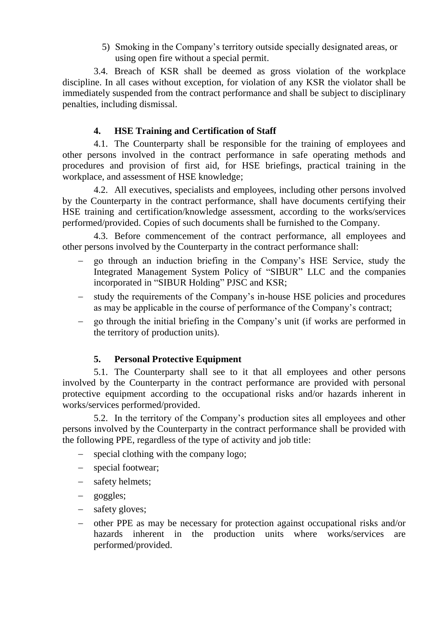5) Smoking in the Company's territory outside specially designated areas, or using open fire without a special permit.

3.4. Breach of KSR shall be deemed as gross violation of the workplace discipline. In all cases without exception, for violation of any KSR the violator shall be immediately suspended from the contract performance and shall be subject to disciplinary penalties, including dismissal.

### **4. HSE Training and Certification of Staff**

4.1. The Counterparty shall be responsible for the training of employees and other persons involved in the contract performance in safe operating methods and procedures and provision of first aid, for HSE briefings, practical training in the workplace, and assessment of HSE knowledge;

4.2. All executives, specialists and employees, including other persons involved by the Counterparty in the contract performance, shall have documents certifying their HSE training and certification/knowledge assessment, according to the works/services performed/provided. Copies of such documents shall be furnished to the Company.

4.3. Before commencement of the contract performance, all employees and other persons involved by the Counterparty in the contract performance shall:

- go through an induction briefing in the Company's HSE Service, study the Integrated Management System Policy of "SIBUR" LLC and the companies incorporated in "SIBUR Holding" PJSC and KSR;
- study the requirements of the Company's in-house HSE policies and procedures as may be applicable in the course of performance of the Company's contract;
- go through the initial briefing in the Company's unit (if works are performed in the territory of production units).

#### **5. Personal Protective Equipment**

5.1. The Counterparty shall see to it that all employees and other persons involved by the Counterparty in the contract performance are provided with personal protective equipment according to the occupational risks and/or hazards inherent in works/services performed/provided.

5.2. In the territory of the Company's production sites all employees and other persons involved by the Counterparty in the contract performance shall be provided with the following PPE, regardless of the type of activity and job title:

- special clothing with the company logo;
- special footwear;
- safety helmets;
- goggles;
- safety gloves;
- other PPE as may be necessary for protection against occupational risks and/or hazards inherent in the production units where works/services are performed/provided.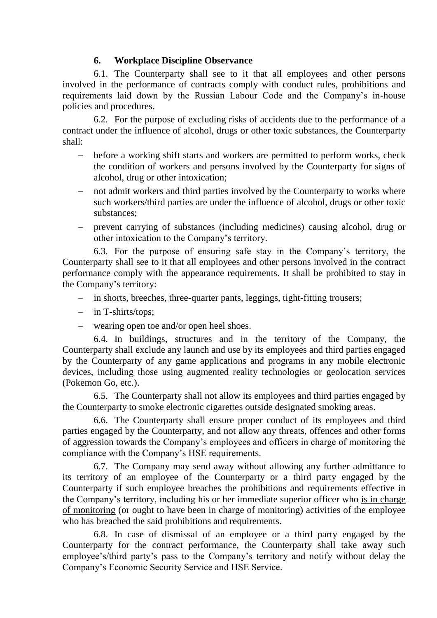### **6. Workplace Discipline Observance**

6.1. The Counterparty shall see to it that all employees and other persons involved in the performance of contracts comply with conduct rules, prohibitions and requirements laid down by the Russian Labour Code and the Company's in-house policies and procedures.

6.2. For the purpose of excluding risks of accidents due to the performance of a contract under the influence of alcohol, drugs or other toxic substances, the Counterparty shall:

- before a working shift starts and workers are permitted to perform works, check the condition of workers and persons involved by the Counterparty for signs of alcohol, drug or other intoxication;
- not admit workers and third parties involved by the Counterparty to works where such workers/third parties are under the influence of alcohol, drugs or other toxic substances;
- prevent carrying of substances (including medicines) causing alcohol, drug or other intoxication to the Company's territory.

6.3. For the purpose of ensuring safe stay in the Company's territory, the Counterparty shall see to it that all employees and other persons involved in the contract performance comply with the appearance requirements. It shall be prohibited to stay in the Company's territory:

- in shorts, breeches, three-quarter pants, leggings, tight-fitting trousers;
- in T-shirts/tops:
- wearing open toe and/or open heel shoes.

6.4. In buildings, structures and in the territory of the Company, the Counterparty shall exclude any launch and use by its employees and third parties engaged by the Counterparty of any game applications and programs in any mobile electronic devices, including those using augmented reality technologies or geolocation services (Pokemon Go, etc.).

6.5. The Counterparty shall not allow its employees and third parties engaged by the Counterparty to smoke electronic cigarettes outside designated smoking areas.

6.6. The Counterparty shall ensure proper conduct of its employees and third parties engaged by the Counterparty, and not allow any threats, offences and other forms of aggression towards the Company's employees and officers in charge of monitoring the compliance with the Company's HSE requirements.

6.7. The Company may send away without allowing any further admittance to its territory of an employee of the Counterparty or a third party engaged by the Counterparty if such employee breaches the prohibitions and requirements effective in the Company's territory, including his or her immediate superior officer who is in charge of monitoring (or ought to have been in charge of monitoring) activities of the employee who has breached the said prohibitions and requirements.

6.8. In case of dismissal of an employee or a third party engaged by the Counterparty for the contract performance, the Counterparty shall take away such employee's/third party's pass to the Company's territory and notify without delay the Company's Economic Security Service and HSE Service.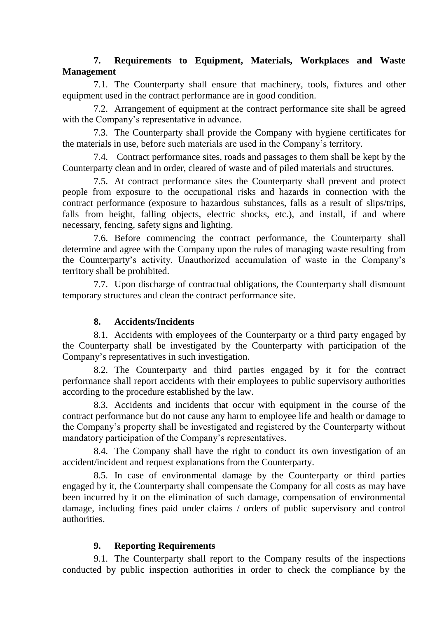### **7. Requirements to Equipment, Materials, Workplaces and Waste Management**

7.1. The Counterparty shall ensure that machinery, tools, fixtures and other equipment used in the contract performance are in good condition.

7.2. Arrangement of equipment at the contract performance site shall be agreed with the Company's representative in advance.

7.3. The Counterparty shall provide the Company with hygiene certificates for the materials in use, before such materials are used in the Company's territory.

7.4. Contract performance sites, roads and passages to them shall be kept by the Counterparty clean and in order, cleared of waste and of piled materials and structures.

7.5. At contract performance sites the Counterparty shall prevent and protect people from exposure to the occupational risks and hazards in connection with the contract performance (exposure to hazardous substances, falls as a result of slips/trips, falls from height, falling objects, electric shocks, etc.), and install, if and where necessary, fencing, safety signs and lighting.

7.6. Before commencing the contract performance, the Counterparty shall determine and agree with the Company upon the rules of managing waste resulting from the Counterparty's activity. Unauthorized accumulation of waste in the Company's territory shall be prohibited.

7.7. Upon discharge of contractual obligations, the Counterparty shall dismount temporary structures and clean the contract performance site.

#### **8. Accidents/Incidents**

8.1. Accidents with employees of the Counterparty or a third party engaged by the Counterparty shall be investigated by the Counterparty with participation of the Company's representatives in such investigation.

8.2. The Counterparty and third parties engaged by it for the contract performance shall report accidents with their employees to public supervisory authorities according to the procedure established by the law.

8.3. Accidents and incidents that occur with equipment in the course of the contract performance but do not cause any harm to employee life and health or damage to the Company's property shall be investigated and registered by the Counterparty without mandatory participation of the Company's representatives.

8.4. The Company shall have the right to conduct its own investigation of an accident/incident and request explanations from the Counterparty.

8.5. In case of environmental damage by the Counterparty or third parties engaged by it, the Counterparty shall compensate the Company for all costs as may have been incurred by it on the elimination of such damage, compensation of environmental damage, including fines paid under claims / orders of public supervisory and control authorities.

## **9. Reporting Requirements**

9.1. The Counterparty shall report to the Company results of the inspections conducted by public inspection authorities in order to check the compliance by the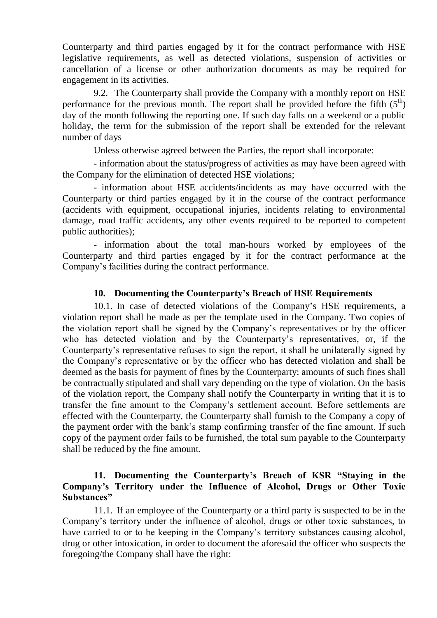Counterparty and third parties engaged by it for the contract performance with HSE legislative requirements, as well as detected violations, suspension of activities or cancellation of a license or other authorization documents as may be required for engagement in its activities.

9.2. The Counterparty shall provide the Company with a monthly report on HSE performance for the previous month. The report shall be provided before the fifth  $(5<sup>th</sup>)$ day of the month following the reporting one. If such day falls on a weekend or a public holiday, the term for the submission of the report shall be extended for the relevant number of days

Unless otherwise agreed between the Parties, the report shall incorporate:

- information about the status/progress of activities as may have been agreed with the Company for the elimination of detected HSE violations;

- information about HSE accidents/incidents as may have occurred with the Counterparty or third parties engaged by it in the course of the contract performance (accidents with equipment, occupational injuries, incidents relating to environmental damage, road traffic accidents, any other events required to be reported to competent public authorities);

- information about the total man-hours worked by employees of the Counterparty and third parties engaged by it for the contract performance at the Company's facilities during the contract performance.

#### **10. Documenting the Counterparty's Breach of HSE Requirements**

10.1. In case of detected violations of the Company's HSE requirements, a violation report shall be made as per the template used in the Company. Two copies of the violation report shall be signed by the Company's representatives or by the officer who has detected violation and by the Counterparty's representatives, or, if the Counterparty's representative refuses to sign the report, it shall be unilaterally signed by the Company's representative or by the officer who has detected violation and shall be deemed as the basis for payment of fines by the Counterparty; amounts of such fines shall be contractually stipulated and shall vary depending on the type of violation. On the basis of the violation report, the Company shall notify the Counterparty in writing that it is to transfer the fine amount to the Company's settlement account. Before settlements are effected with the Counterparty, the Counterparty shall furnish to the Company a copy of the payment order with the bank's stamp confirming transfer of the fine amount. If such copy of the payment order fails to be furnished, the total sum payable to the Counterparty shall be reduced by the fine amount.

#### **11. Documenting the Counterparty's Breach of KSR "Staying in the Company's Territory under the Influence of Alcohol, Drugs or Other Toxic Substances"**

11.1. If an employee of the Counterparty or a third party is suspected to be in the Company's territory under the influence of alcohol, drugs or other toxic substances, to have carried to or to be keeping in the Company's territory substances causing alcohol, drug or other intoxication, in order to document the aforesaid the officer who suspects the foregoing/the Company shall have the right: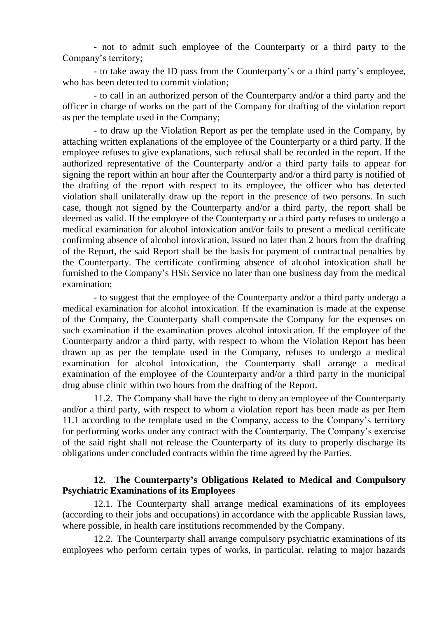- not to admit such employee of the Counterparty or a third party to the Company's territory;

- to take away the ID pass from the Counterparty's or a third party's employee, who has been detected to commit violation;

- to call in an authorized person of the Counterparty and/or a third party and the officer in charge of works on the part of the Company for drafting of the violation report as per the template used in the Company;

- to draw up the Violation Report as per the template used in the Company, by attaching written explanations of the employee of the Counterparty or a third party. If the employee refuses to give explanations, such refusal shall be recorded in the report. If the authorized representative of the Counterparty and/or a third party fails to appear for signing the report within an hour after the Counterparty and/or a third party is notified of the drafting of the report with respect to its employee, the officer who has detected violation shall unilaterally draw up the report in the presence of two persons. In such case, though not signed by the Counterparty and/or a third party, the report shall be deemed as valid. If the employee of the Counterparty or a third party refuses to undergo a medical examination for alcohol intoxication and/or fails to present a medical certificate confirming absence of alcohol intoxication, issued no later than 2 hours from the drafting of the Report, the said Report shall be the basis for payment of contractual penalties by the Counterparty. The certificate confirming absence of alcohol intoxication shall be furnished to the Company's HSE Service no later than one business day from the medical examination;

- to suggest that the employee of the Counterparty and/or a third party undergo a medical examination for alcohol intoxication. If the examination is made at the expense of the Company, the Counterparty shall compensate the Company for the expenses on such examination if the examination proves alcohol intoxication. If the employee of the Counterparty and/or a third party, with respect to whom the Violation Report has been drawn up as per the template used in the Company, refuses to undergo a medical examination for alcohol intoxication, the Counterparty shall arrange a medical examination of the employee of the Counterparty and/or a third party in the municipal drug abuse clinic within two hours from the drafting of the Report.

11.2. The Company shall have the right to deny an employee of the Counterparty and/or a third party, with respect to whom a violation report has been made as per Item 11.1 according to the template used in the Company, access to the Company's territory for performing works under any contract with the Counterparty. The Company's exercise of the said right shall not release the Counterparty of its duty to properly discharge its obligations under concluded contracts within the time agreed by the Parties.

#### **12. The Counterparty's Obligations Related to Medical and Compulsory Psychiatric Examinations of its Employees**

12.1. The Counterparty shall arrange medical examinations of its employees (according to their jobs and occupations) in accordance with the applicable Russian laws, where possible, in health care institutions recommended by the Company.

12.2. The Counterparty shall arrange compulsory psychiatric examinations of its employees who perform certain types of works, in particular, relating to major hazards